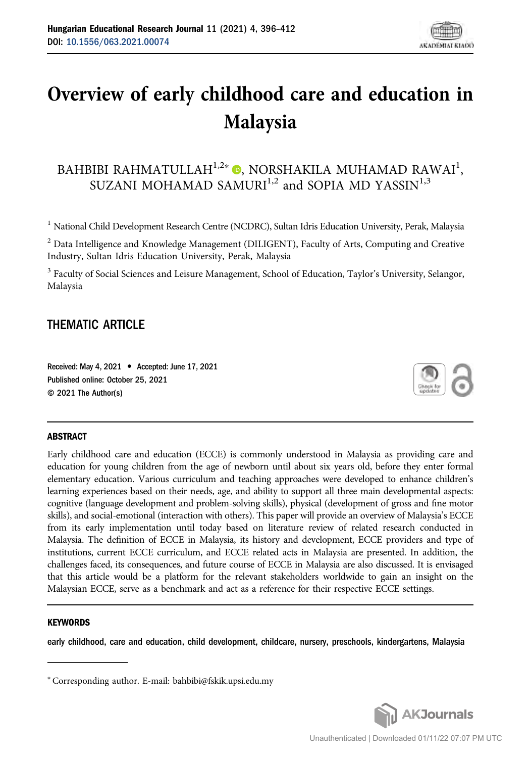# Overview of early childhood care and education in Malaysia

# BAHBIBI RAHMATULLAH $^{1,2\ast}$  $^{1,2\ast}$  $^{1,2\ast}$   $\textcircled{\tiny{\bullet}}$ , NORSHAKILA MUHAMAD RAWAI<sup>1</sup>, SUZANI MOHAMAD SAMURI $^{1,2}$  and SOPIA MD YASSIN $^{1,3}$

<sup>1</sup> National Child Development Research Centre (NCDRC), Sultan Idris Education University, Perak, Malaysia

<sup>2</sup> Data Intelligence and Knowledge Management (DILIGENT), Faculty of Arts, Computing and Creative Industry, Sultan Idris Education University, Perak, Malaysia

<sup>3</sup> Faculty of Social Sciences and Leisure Management, School of Education, Taylor's University, Selangor, Malaysia

### THEMATIC ARTICLE

Received: May 4, 2021 • Accepted: June 17, 2021 Published online: October 25, 2021 © 2021 The Author(s)



#### ABSTRACT

Early childhood care and education (ECCE) is commonly understood in Malaysia as providing care and education for young children from the age of newborn until about six years old, before they enter formal elementary education. Various curriculum and teaching approaches were developed to enhance children's learning experiences based on their needs, age, and ability to support all three main developmental aspects: cognitive (language development and problem-solving skills), physical (development of gross and fine motor skills), and social-emotional (interaction with others). This paper will provide an overview of Malaysia's ECCE from its early implementation until today based on literature review of related research conducted in Malaysia. The definition of ECCE in Malaysia, its history and development, ECCE providers and type of institutions, current ECCE curriculum, and ECCE related acts in Malaysia are presented. In addition, the challenges faced, its consequences, and future course of ECCE in Malaysia are also discussed. It is envisaged that this article would be a platform for the relevant stakeholders worldwide to gain an insight on the Malaysian ECCE, serve as a benchmark and act as a reference for their respective ECCE settings.

#### **KEYWORDS**

early childhood, care and education, child development, childcare, nursery, preschools, kindergartens, Malaysia

<sup>p</sup> Corresponding author. E-mail: [bahbibi@fskik.upsi.edu.my](mailto:bahbibi@fskik.upsi.edu.my)

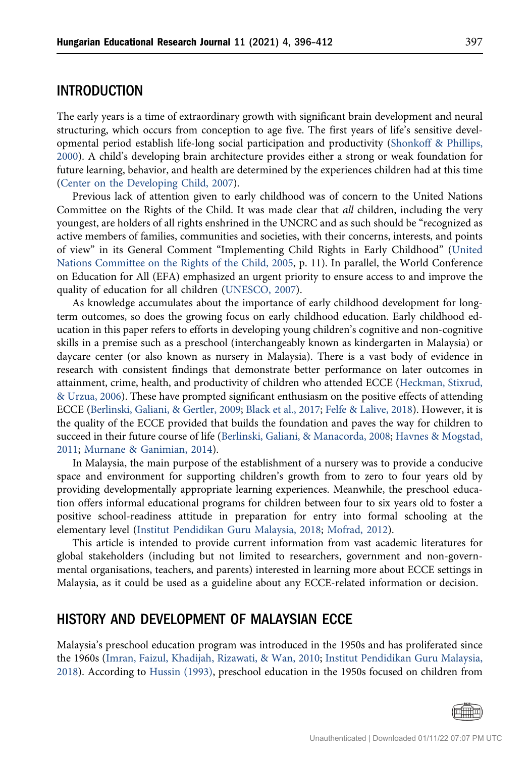### INTRODUCTION

The early years is a time of extraordinary growth with significant brain development and neural structuring, which occurs from conception to age five. The first years of life's sensitive developmental period establish life-long social participation and productivity [\(Shonkoff & Phillips,](#page-16-0) [2000](#page-16-0)). A child's developing brain architecture provides either a strong or weak foundation for future learning, behavior, and health are determined by the experiences children had at this time [\(Center on the Developing Child, 2007\)](#page-14-0).

Previous lack of attention given to early childhood was of concern to the United Nations Committee on the Rights of the Child. It was made clear that all children, including the very youngest, are holders of all rights enshrined in the UNCRC and as such should be "recognized as active members of families, communities and societies, with their concerns, interests, and points of view" in its General Comment "Implementing Child Rights in Early Childhood" [\(United](#page-16-1) [Nations Committee on the Rights of the Child, 2005,](#page-16-1) p. 11). In parallel, the World Conference on Education for All (EFA) emphasized an urgent priority to ensure access to and improve the quality of education for all children [\(UNESCO, 2007\)](#page-16-2).

As knowledge accumulates about the importance of early childhood development for longterm outcomes, so does the growing focus on early childhood education. Early childhood education in this paper refers to efforts in developing young children's cognitive and non-cognitive skills in a premise such as a preschool (interchangeably known as kindergarten in Malaysia) or daycare center (or also known as nursery in Malaysia). There is a vast body of evidence in research with consistent findings that demonstrate better performance on later outcomes in attainment, crime, health, and productivity of children who attended ECCE ([Heckman, Stixrud,](#page-14-1) [& Urzua, 2006\)](#page-14-1). These have prompted significant enthusiasm on the positive effects of attending ECCE [\(Berlinski, Galiani, & Gertler, 2009](#page-13-0); [Black et al., 2017;](#page-14-2) [Felfe & Lalive, 2018\)](#page-14-3). However, it is the quality of the ECCE provided that builds the foundation and paves the way for children to succeed in their future course of life ([Berlinski, Galiani, & Manacorda, 2008;](#page-13-1) [Havnes & Mogstad,](#page-14-4) [2011](#page-14-4); [Murnane & Ganimian, 2014\)](#page-15-0).

In Malaysia, the main purpose of the establishment of a nursery was to provide a conducive space and environment for supporting children's growth from to zero to four years old by providing developmentally appropriate learning experiences. Meanwhile, the preschool education offers informal educational programs for children between four to six years old to foster a positive school-readiness attitude in preparation for entry into formal schooling at the elementary level [\(Institut Pendidikan Guru Malaysia, 2018](#page-15-1); [Mofrad, 2012](#page-15-2)).

This article is intended to provide current information from vast academic literatures for global stakeholders (including but not limited to researchers, government and non-governmental organisations, teachers, and parents) interested in learning more about ECCE settings in Malaysia, as it could be used as a guideline about any ECCE-related information or decision.

### HISTORY AND DEVELOPMENT OF MALAYSIAN ECCE

Malaysia's preschool education program was introduced in the 1950s and has proliferated since the 1960s [\(Imran, Faizul, Khadijah, Rizawati, & Wan, 2010](#page-15-3); [Institut Pendidikan Guru Malaysia,](#page-15-1) [2018](#page-15-1)). According to [Hussin \(1993\)](#page-14-5), preschool education in the 1950s focused on children from

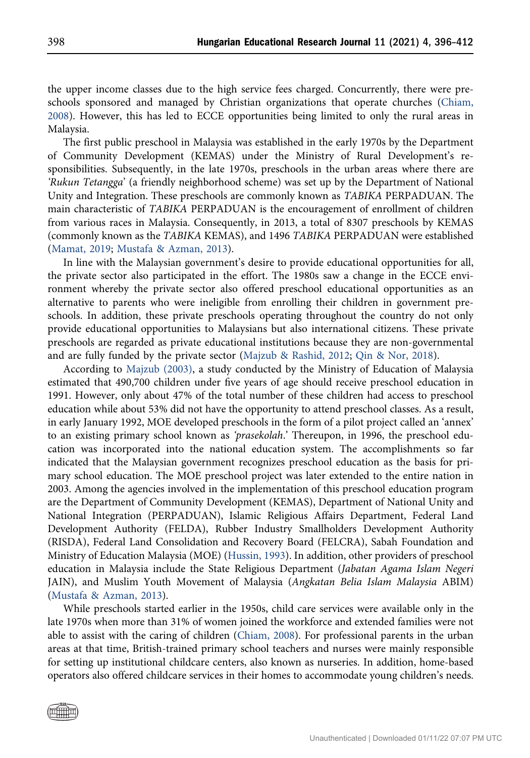the upper income classes due to the high service fees charged. Concurrently, there were preschools sponsored and managed by Christian organizations that operate churches [\(Chiam,](#page-14-6) [2008\)](#page-14-6). However, this has led to ECCE opportunities being limited to only the rural areas in Malaysia.

The first public preschool in Malaysia was established in the early 1970s by the Department of Community Development (KEMAS) under the Ministry of Rural Development's responsibilities. Subsequently, in the late 1970s, preschools in the urban areas where there are 'Rukun Tetangga' (a friendly neighborhood scheme) was set up by the Department of National Unity and Integration. These preschools are commonly known as TABIKA PERPADUAN. The main characteristic of TABIKA PERPADUAN is the encouragement of enrollment of children from various races in Malaysia. Consequently, in 2013, a total of 8307 preschools by KEMAS (commonly known as the TABIKA KEMAS), and 1496 TABIKA PERPADUAN were established [\(Mamat, 2019;](#page-15-4) [Mustafa & Azman, 2013](#page-15-5)).

In line with the Malaysian government's desire to provide educational opportunities for all, the private sector also participated in the effort. The 1980s saw a change in the ECCE environment whereby the private sector also offered preschool educational opportunities as an alternative to parents who were ineligible from enrolling their children in government preschools. In addition, these private preschools operating throughout the country do not only provide educational opportunities to Malaysians but also international citizens. These private preschools are regarded as private educational institutions because they are non-governmental and are fully funded by the private sector ([Majzub & Rashid, 2012](#page-15-6); [Qin & Nor, 2018](#page-16-3)).

According to [Majzub \(2003\),](#page-15-7) a study conducted by the Ministry of Education of Malaysia estimated that 490,700 children under five years of age should receive preschool education in 1991. However, only about 47% of the total number of these children had access to preschool education while about 53% did not have the opportunity to attend preschool classes. As a result, in early January 1992, MOE developed preschools in the form of a pilot project called an 'annex' to an existing primary school known as 'prasekolah.' Thereupon, in 1996, the preschool education was incorporated into the national education system. The accomplishments so far indicated that the Malaysian government recognizes preschool education as the basis for primary school education. The MOE preschool project was later extended to the entire nation in 2003. Among the agencies involved in the implementation of this preschool education program are the Department of Community Development (KEMAS), Department of National Unity and National Integration (PERPADUAN), Islamic Religious Affairs Department, Federal Land Development Authority (FELDA), Rubber Industry Smallholders Development Authority (RISDA), Federal Land Consolidation and Recovery Board (FELCRA), Sabah Foundation and Ministry of Education Malaysia (MOE) ([Hussin, 1993](#page-14-5)). In addition, other providers of preschool education in Malaysia include the State Religious Department (Jabatan Agama Islam Negeri JAIN), and Muslim Youth Movement of Malaysia (Angkatan Belia Islam Malaysia ABIM) [\(Mustafa & Azman, 2013\)](#page-15-5).

While preschools started earlier in the 1950s, child care services were available only in the late 1970s when more than 31% of women joined the workforce and extended families were not able to assist with the caring of children [\(Chiam, 2008\)](#page-14-6). For professional parents in the urban areas at that time, British-trained primary school teachers and nurses were mainly responsible for setting up institutional childcare centers, also known as nurseries. In addition, home-based operators also offered childcare services in their homes to accommodate young children's needs.

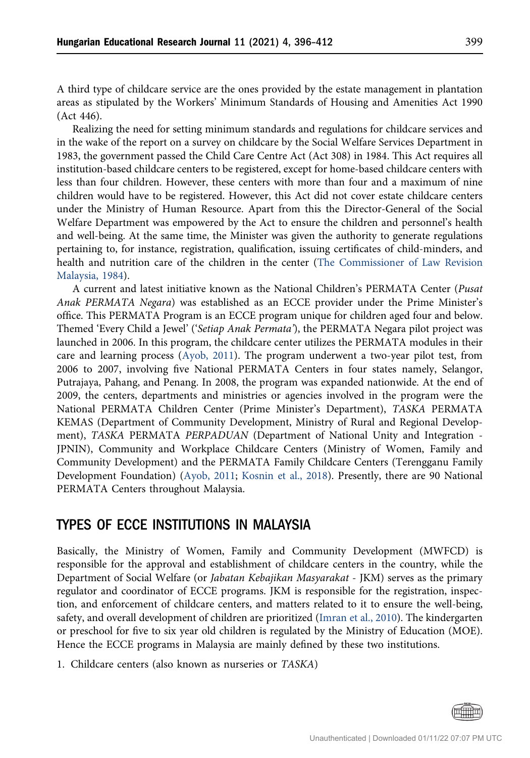A third type of childcare service are the ones provided by the estate management in plantation areas as stipulated by the Workers' Minimum Standards of Housing and Amenities Act 1990 (Act 446).

Realizing the need for setting minimum standards and regulations for childcare services and in the wake of the report on a survey on childcare by the Social Welfare Services Department in 1983, the government passed the Child Care Centre Act (Act 308) in 1984. This Act requires all institution-based childcare centers to be registered, except for home-based childcare centers with less than four children. However, these centers with more than four and a maximum of nine children would have to be registered. However, this Act did not cover estate childcare centers under the Ministry of Human Resource. Apart from this the Director-General of the Social Welfare Department was empowered by the Act to ensure the children and personnel's health and well-being. At the same time, the Minister was given the authority to generate regulations pertaining to, for instance, registration, qualification, issuing certificates of child-minders, and health and nutrition care of the children in the center [\(The Commissioner of Law Revision](#page-16-4) [Malaysia, 1984\)](#page-16-4).

A current and latest initiative known as the National Children's PERMATA Center (Pusat Anak PERMATA Negara) was established as an ECCE provider under the Prime Minister's office. This PERMATA Program is an ECCE program unique for children aged four and below. Themed 'Every Child a Jewel' ('Setiap Anak Permata'), the PERMATA Negara pilot project was launched in 2006. In this program, the childcare center utilizes the PERMATA modules in their care and learning process ([Ayob, 2011](#page-13-2)). The program underwent a two-year pilot test, from 2006 to 2007, involving five National PERMATA Centers in four states namely, Selangor, Putrajaya, Pahang, and Penang. In 2008, the program was expanded nationwide. At the end of 2009, the centers, departments and ministries or agencies involved in the program were the National PERMATA Children Center (Prime Minister's Department), TASKA PERMATA KEMAS (Department of Community Development, Ministry of Rural and Regional Development), TASKA PERMATA PERPADUAN (Department of National Unity and Integration - JPNIN), Community and Workplace Childcare Centers (Ministry of Women, Family and Community Development) and the PERMATA Family Childcare Centers (Terengganu Family Development Foundation) [\(Ayob, 2011](#page-13-2); [Kosnin et al., 2018](#page-15-8)). Presently, there are 90 National PERMATA Centers throughout Malaysia.

# TYPES OF ECCE INSTITUTIONS IN MALAYSIA

Basically, the Ministry of Women, Family and Community Development (MWFCD) is responsible for the approval and establishment of childcare centers in the country, while the Department of Social Welfare (or Jabatan Kebajikan Masyarakat - JKM) serves as the primary regulator and coordinator of ECCE programs. JKM is responsible for the registration, inspection, and enforcement of childcare centers, and matters related to it to ensure the well-being, safety, and overall development of children are prioritized ([Imran et al., 2010\)](#page-15-3). The kindergarten or preschool for five to six year old children is regulated by the Ministry of Education (MOE). Hence the ECCE programs in Malaysia are mainly defined by these two institutions.

1. Childcare centers (also known as nurseries or TASKA)

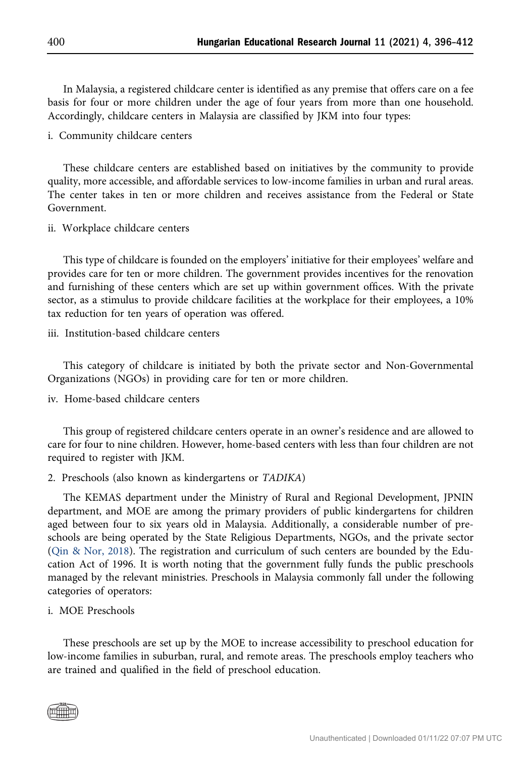In Malaysia, a registered childcare center is identified as any premise that offers care on a fee basis for four or more children under the age of four years from more than one household. Accordingly, childcare centers in Malaysia are classified by JKM into four types:

i. Community childcare centers

These childcare centers are established based on initiatives by the community to provide quality, more accessible, and affordable services to low-income families in urban and rural areas. The center takes in ten or more children and receives assistance from the Federal or State Government.

ii. Workplace childcare centers

This type of childcare is founded on the employers' initiative for their employees' welfare and provides care for ten or more children. The government provides incentives for the renovation and furnishing of these centers which are set up within government offices. With the private sector, as a stimulus to provide childcare facilities at the workplace for their employees, a 10% tax reduction for ten years of operation was offered.

iii. Institution-based childcare centers

This category of childcare is initiated by both the private sector and Non-Governmental Organizations (NGOs) in providing care for ten or more children.

iv. Home-based childcare centers

This group of registered childcare centers operate in an owner's residence and are allowed to care for four to nine children. However, home-based centers with less than four children are not required to register with JKM.

2. Preschools (also known as kindergartens or TADIKA)

The KEMAS department under the Ministry of Rural and Regional Development, JPNIN department, and MOE are among the primary providers of public kindergartens for children aged between four to six years old in Malaysia. Additionally, a considerable number of preschools are being operated by the State Religious Departments, NGOs, and the private sector [\(Qin & Nor, 2018\)](#page-16-3). The registration and curriculum of such centers are bounded by the Education Act of 1996. It is worth noting that the government fully funds the public preschools managed by the relevant ministries. Preschools in Malaysia commonly fall under the following categories of operators:

#### i. MOE Preschools

These preschools are set up by the MOE to increase accessibility to preschool education for low-income families in suburban, rural, and remote areas. The preschools employ teachers who are trained and qualified in the field of preschool education.

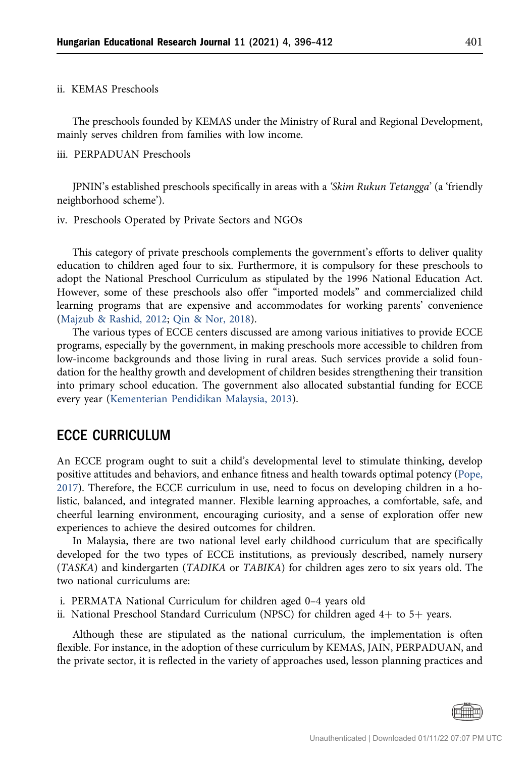#### ii. KEMAS Preschools

The preschools founded by KEMAS under the Ministry of Rural and Regional Development, mainly serves children from families with low income.

#### iii. PERPADUAN Preschools

JPNIN's established preschools specifically in areas with a 'Skim Rukun Tetangga' (a 'friendly neighborhood scheme').

### iv. Preschools Operated by Private Sectors and NGOs

This category of private preschools complements the government's efforts to deliver quality education to children aged four to six. Furthermore, it is compulsory for these preschools to adopt the National Preschool Curriculum as stipulated by the 1996 National Education Act. However, some of these preschools also offer "imported models" and commercialized child learning programs that are expensive and accommodates for working parents' convenience [\(Majzub & Rashid, 2012](#page-15-6); [Qin & Nor, 2018](#page-16-3)).

The various types of ECCE centers discussed are among various initiatives to provide ECCE programs, especially by the government, in making preschools more accessible to children from low-income backgrounds and those living in rural areas. Such services provide a solid foundation for the healthy growth and development of children besides strengthening their transition into primary school education. The government also allocated substantial funding for ECCE every year ([Kementerian Pendidikan Malaysia, 2013](#page-15-9)).

# ECCE CURRICULUM

An ECCE program ought to suit a child's developmental level to stimulate thinking, develop positive attitudes and behaviors, and enhance fitness and health towards optimal potency ([Pope,](#page-15-10) [2017](#page-15-10)). Therefore, the ECCE curriculum in use, need to focus on developing children in a holistic, balanced, and integrated manner. Flexible learning approaches, a comfortable, safe, and cheerful learning environment, encouraging curiosity, and a sense of exploration offer new experiences to achieve the desired outcomes for children.

In Malaysia, there are two national level early childhood curriculum that are specifically developed for the two types of ECCE institutions, as previously described, namely nursery (TASKA) and kindergarten (TADIKA or TABIKA) for children ages zero to six years old. The two national curriculums are:

- i. PERMATA National Curriculum for children aged 0–4 years old
- ii. National Preschool Standard Curriculum (NPSC) for children aged  $4+$  to  $5+$  years.

Although these are stipulated as the national curriculum, the implementation is often flexible. For instance, in the adoption of these curriculum by KEMAS, JAIN, PERPADUAN, and the private sector, it is reflected in the variety of approaches used, lesson planning practices and

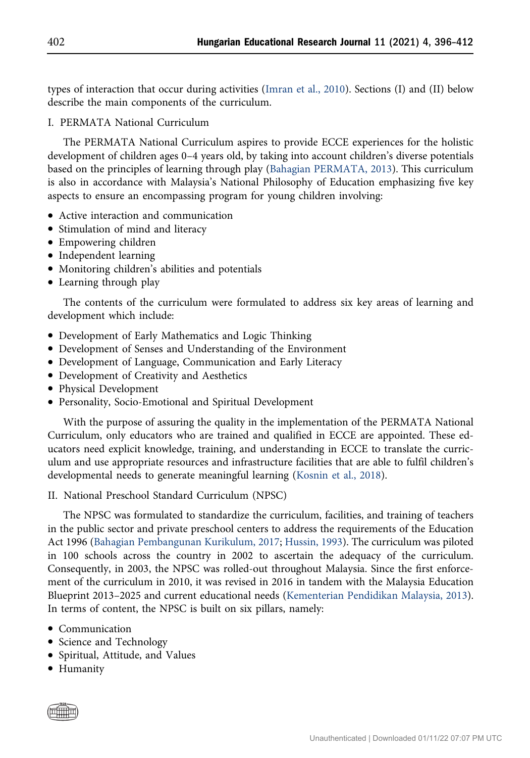types of interaction that occur during activities ([Imran et al., 2010](#page-15-3)). Sections (I) and (II) below describe the main components of the curriculum.

### I. PERMATA National Curriculum

The PERMATA National Curriculum aspires to provide ECCE experiences for the holistic development of children ages 0–4 years old, by taking into account children's diverse potentials based on the principles of learning through play [\(Bahagian PERMATA, 2013](#page-13-3)). This curriculum is also in accordance with Malaysia's National Philosophy of Education emphasizing five key aspects to ensure an encompassing program for young children involving:

- Active interaction and communication
- Stimulation of mind and literacy
- Empowering children
- Independent learning
- Monitoring children's abilities and potentials
- Learning through play

The contents of the curriculum were formulated to address six key areas of learning and development which include:

- Development of Early Mathematics and Logic Thinking
- Development of Senses and Understanding of the Environment
- Development of Language, Communication and Early Literacy
- Development of Creativity and Aesthetics
- Physical Development
- Personality, Socio-Emotional and Spiritual Development

With the purpose of assuring the quality in the implementation of the PERMATA National Curriculum, only educators who are trained and qualified in ECCE are appointed. These educators need explicit knowledge, training, and understanding in ECCE to translate the curriculum and use appropriate resources and infrastructure facilities that are able to fulfil children's developmental needs to generate meaningful learning [\(Kosnin et al., 2018](#page-15-8)).

II. National Preschool Standard Curriculum (NPSC)

The NPSC was formulated to standardize the curriculum, facilities, and training of teachers in the public sector and private preschool centers to address the requirements of the Education Act 1996 [\(Bahagian Pembangunan Kurikulum, 2017](#page-13-4); [Hussin, 1993\)](#page-14-5). The curriculum was piloted in 100 schools across the country in 2002 to ascertain the adequacy of the curriculum. Consequently, in 2003, the NPSC was rolled-out throughout Malaysia. Since the first enforcement of the curriculum in 2010, it was revised in 2016 in tandem with the Malaysia Education Blueprint 2013–2025 and current educational needs [\(Kementerian Pendidikan Malaysia, 2013\)](#page-15-9). In terms of content, the NPSC is built on six pillars, namely:

- Communication
- Science and Technology
- Spiritual, Attitude, and Values
- Humanity

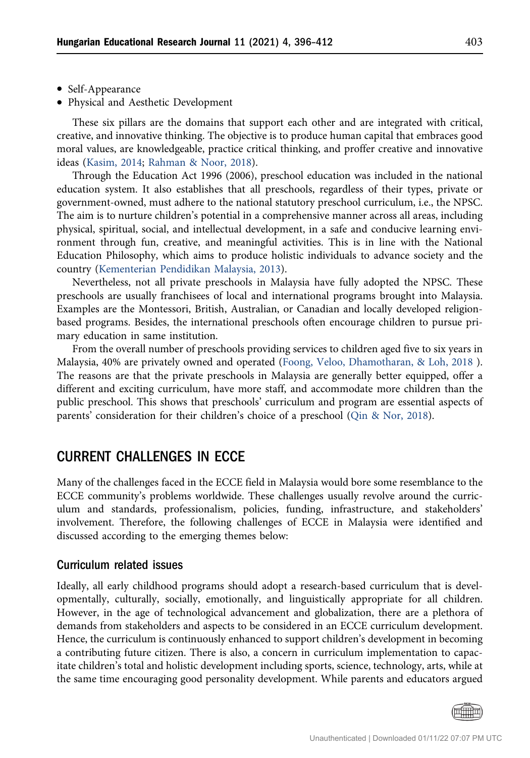- Self-Appearance
- Physical and Aesthetic Development

These six pillars are the domains that support each other and are integrated with critical, creative, and innovative thinking. The objective is to produce human capital that embraces good moral values, are knowledgeable, practice critical thinking, and proffer creative and innovative ideas ([Kasim, 2014;](#page-15-11) [Rahman & Noor, 2018](#page-16-5)).

Through the Education Act 1996 (2006), preschool education was included in the national education system. It also establishes that all preschools, regardless of their types, private or government-owned, must adhere to the national statutory preschool curriculum, i.e., the NPSC. The aim is to nurture children's potential in a comprehensive manner across all areas, including physical, spiritual, social, and intellectual development, in a safe and conducive learning environment through fun, creative, and meaningful activities. This is in line with the National Education Philosophy, which aims to produce holistic individuals to advance society and the country ([Kementerian Pendidikan Malaysia, 2013](#page-15-9)).

Nevertheless, not all private preschools in Malaysia have fully adopted the NPSC. These preschools are usually franchisees of local and international programs brought into Malaysia. Examples are the Montessori, British, Australian, or Canadian and locally developed religionbased programs. Besides, the international preschools often encourage children to pursue primary education in same institution.

From the overall number of preschools providing services to children aged five to six years in Malaysia, 40% are privately owned and operated ([Foong, Veloo, Dhamotharan, & Loh, 2018](#page-14-7) ). The reasons are that the private preschools in Malaysia are generally better equipped, offer a different and exciting curriculum, have more staff, and accommodate more children than the public preschool. This shows that preschools' curriculum and program are essential aspects of parents' consideration for their children's choice of a preschool [\(Qin & Nor, 2018\)](#page-16-3).

# CURRENT CHALLENGES IN ECCE

Many of the challenges faced in the ECCE field in Malaysia would bore some resemblance to the ECCE community's problems worldwide. These challenges usually revolve around the curriculum and standards, professionalism, policies, funding, infrastructure, and stakeholders' involvement. Therefore, the following challenges of ECCE in Malaysia were identified and discussed according to the emerging themes below:

### Curriculum related issues

Ideally, all early childhood programs should adopt a research-based curriculum that is developmentally, culturally, socially, emotionally, and linguistically appropriate for all children. However, in the age of technological advancement and globalization, there are a plethora of demands from stakeholders and aspects to be considered in an ECCE curriculum development. Hence, the curriculum is continuously enhanced to support children's development in becoming a contributing future citizen. There is also, a concern in curriculum implementation to capacitate children's total and holistic development including sports, science, technology, arts, while at the same time encouraging good personality development. While parents and educators argued

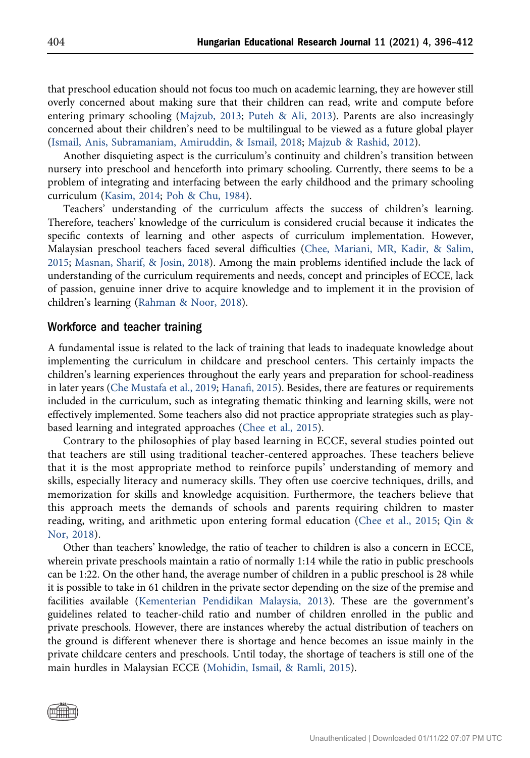that preschool education should not focus too much on academic learning, they are however still overly concerned about making sure that their children can read, write and compute before entering primary schooling ([Majzub, 2013;](#page-15-12) [Puteh & Ali, 2013\)](#page-16-6). Parents are also increasingly concerned about their children's need to be multilingual to be viewed as a future global player [\(Ismail, Anis, Subramaniam, Amiruddin, & Ismail, 2018](#page-15-13); [Majzub & Rashid, 2012](#page-15-6)).

Another disquieting aspect is the curriculum's continuity and children's transition between nursery into preschool and henceforth into primary schooling. Currently, there seems to be a problem of integrating and interfacing between the early childhood and the primary schooling curriculum ([Kasim, 2014;](#page-15-11) [Poh & Chu, 1984\)](#page-15-14).

Teachers' understanding of the curriculum affects the success of children's learning. Therefore, teachers' knowledge of the curriculum is considered crucial because it indicates the specific contexts of learning and other aspects of curriculum implementation. However, Malaysian preschool teachers faced several difficulties ([Chee, Mariani, MR, Kadir, & Salim,](#page-14-8) [2015;](#page-14-8) [Masnan, Sharif, & Josin, 2018](#page-15-15)). Among the main problems identified include the lack of understanding of the curriculum requirements and needs, concept and principles of ECCE, lack of passion, genuine inner drive to acquire knowledge and to implement it in the provision of children's learning [\(Rahman & Noor, 2018](#page-16-5)).

#### Workforce and teacher training

A fundamental issue is related to the lack of training that leads to inadequate knowledge about implementing the curriculum in childcare and preschool centers. This certainly impacts the children's learning experiences throughout the early years and preparation for school-readiness in later years [\(Che Mustafa et al., 2019](#page-14-9); Hanafi[, 2015\)](#page-14-10). Besides, there are features or requirements included in the curriculum, such as integrating thematic thinking and learning skills, were not effectively implemented. Some teachers also did not practice appropriate strategies such as playbased learning and integrated approaches ([Chee et al., 2015](#page-14-8)).

Contrary to the philosophies of play based learning in ECCE, several studies pointed out that teachers are still using traditional teacher-centered approaches. These teachers believe that it is the most appropriate method to reinforce pupils' understanding of memory and skills, especially literacy and numeracy skills. They often use coercive techniques, drills, and memorization for skills and knowledge acquisition. Furthermore, the teachers believe that this approach meets the demands of schools and parents requiring children to master reading, writing, and arithmetic upon entering formal education [\(Chee et al., 2015;](#page-14-8) [Qin &](#page-16-3) [Nor, 2018\)](#page-16-3).

Other than teachers' knowledge, the ratio of teacher to children is also a concern in ECCE, wherein private preschools maintain a ratio of normally 1:14 while the ratio in public preschools can be 1:22. On the other hand, the average number of children in a public preschool is 28 while it is possible to take in 61 children in the private sector depending on the size of the premise and facilities available ([Kementerian Pendidikan Malaysia, 2013](#page-15-9)). These are the government's guidelines related to teacher-child ratio and number of children enrolled in the public and private preschools. However, there are instances whereby the actual distribution of teachers on the ground is different whenever there is shortage and hence becomes an issue mainly in the private childcare centers and preschools. Until today, the shortage of teachers is still one of the main hurdles in Malaysian ECCE ([Mohidin, Ismail, & Ramli, 2015\)](#page-15-16).

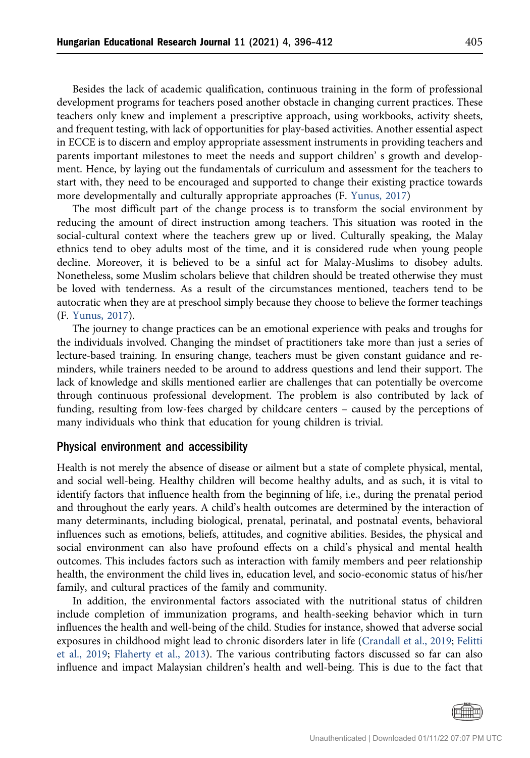Besides the lack of academic qualification, continuous training in the form of professional development programs for teachers posed another obstacle in changing current practices. These teachers only knew and implement a prescriptive approach, using workbooks, activity sheets, and frequent testing, with lack of opportunities for play-based activities. Another essential aspect in ECCE is to discern and employ appropriate assessment instruments in providing teachers and parents important milestones to meet the needs and support children' s growth and development. Hence, by laying out the fundamentals of curriculum and assessment for the teachers to start with, they need to be encouraged and supported to change their existing practice towards more developmentally and culturally appropriate approaches (F. [Yunus, 2017](#page-16-7))

The most difficult part of the change process is to transform the social environment by reducing the amount of direct instruction among teachers. This situation was rooted in the social-cultural context where the teachers grew up or lived. Culturally speaking, the Malay ethnics tend to obey adults most of the time, and it is considered rude when young people decline. Moreover, it is believed to be a sinful act for Malay-Muslims to disobey adults. Nonetheless, some Muslim scholars believe that children should be treated otherwise they must be loved with tenderness. As a result of the circumstances mentioned, teachers tend to be autocratic when they are at preschool simply because they choose to believe the former teachings (F. [Yunus, 2017](#page-16-7)).

The journey to change practices can be an emotional experience with peaks and troughs for the individuals involved. Changing the mindset of practitioners take more than just a series of lecture-based training. In ensuring change, teachers must be given constant guidance and reminders, while trainers needed to be around to address questions and lend their support. The lack of knowledge and skills mentioned earlier are challenges that can potentially be overcome through continuous professional development. The problem is also contributed by lack of funding, resulting from low-fees charged by childcare centers – caused by the perceptions of many individuals who think that education for young children is trivial.

#### Physical environment and accessibility

Health is not merely the absence of disease or ailment but a state of complete physical, mental, and social well-being. Healthy children will become healthy adults, and as such, it is vital to identify factors that influence health from the beginning of life, i.e., during the prenatal period and throughout the early years. A child's health outcomes are determined by the interaction of many determinants, including biological, prenatal, perinatal, and postnatal events, behavioral influences such as emotions, beliefs, attitudes, and cognitive abilities. Besides, the physical and social environment can also have profound effects on a child's physical and mental health outcomes. This includes factors such as interaction with family members and peer relationship health, the environment the child lives in, education level, and socio-economic status of his/her family, and cultural practices of the family and community.

In addition, the environmental factors associated with the nutritional status of children include completion of immunization programs, and health-seeking behavior which in turn influences the health and well-being of the child. Studies for instance, showed that adverse social exposures in childhood might lead to chronic disorders later in life [\(Crandall et al., 2019;](#page-14-11) [Felitti](#page-14-12) [et al., 2019;](#page-14-12) [Flaherty et al., 2013\)](#page-14-13). The various contributing factors discussed so far can also influence and impact Malaysian children's health and well-being. This is due to the fact that

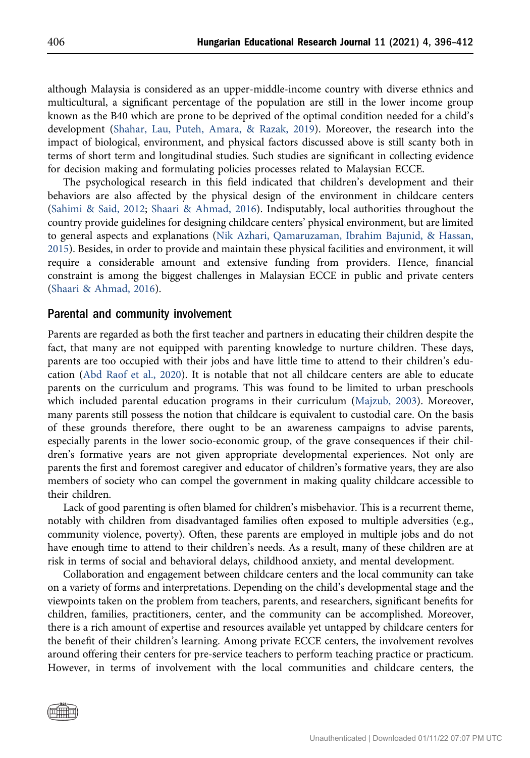although Malaysia is considered as an upper-middle-income country with diverse ethnics and multicultural, a significant percentage of the population are still in the lower income group known as the B40 which are prone to be deprived of the optimal condition needed for a child's development [\(Shahar, Lau, Puteh, Amara, & Razak, 2019\)](#page-16-8). Moreover, the research into the impact of biological, environment, and physical factors discussed above is still scanty both in terms of short term and longitudinal studies. Such studies are significant in collecting evidence for decision making and formulating policies processes related to Malaysian ECCE.

The psychological research in this field indicated that children's development and their behaviors are also affected by the physical design of the environment in childcare centers [\(Sahimi & Said, 2012](#page-16-9); [Shaari & Ahmad, 2016](#page-16-10)). Indisputably, local authorities throughout the country provide guidelines for designing childcare centers' physical environment, but are limited to general aspects and explanations [\(Nik Azhari, Qamaruzaman, Ibrahim Bajunid, & Hassan,](#page-15-17) [2015\)](#page-15-17). Besides, in order to provide and maintain these physical facilities and environment, it will require a considerable amount and extensive funding from providers. Hence, financial constraint is among the biggest challenges in Malaysian ECCE in public and private centers [\(Shaari & Ahmad, 2016](#page-16-10)).

### Parental and community involvement

Parents are regarded as both the first teacher and partners in educating their children despite the fact, that many are not equipped with parenting knowledge to nurture children. These days, parents are too occupied with their jobs and have little time to attend to their children's education ([Abd Raof et al., 2020\)](#page-13-5). It is notable that not all childcare centers are able to educate parents on the curriculum and programs. This was found to be limited to urban preschools which included parental education programs in their curriculum [\(Majzub, 2003\)](#page-15-7). Moreover, many parents still possess the notion that childcare is equivalent to custodial care. On the basis of these grounds therefore, there ought to be an awareness campaigns to advise parents, especially parents in the lower socio-economic group, of the grave consequences if their children's formative years are not given appropriate developmental experiences. Not only are parents the first and foremost caregiver and educator of children's formative years, they are also members of society who can compel the government in making quality childcare accessible to their children.

Lack of good parenting is often blamed for children's misbehavior. This is a recurrent theme, notably with children from disadvantaged families often exposed to multiple adversities (e.g., community violence, poverty). Often, these parents are employed in multiple jobs and do not have enough time to attend to their children's needs. As a result, many of these children are at risk in terms of social and behavioral delays, childhood anxiety, and mental development.

Collaboration and engagement between childcare centers and the local community can take on a variety of forms and interpretations. Depending on the child's developmental stage and the viewpoints taken on the problem from teachers, parents, and researchers, significant benefits for children, families, practitioners, center, and the community can be accomplished. Moreover, there is a rich amount of expertise and resources available yet untapped by childcare centers for the benefit of their children's learning. Among private ECCE centers, the involvement revolves around offering their centers for pre-service teachers to perform teaching practice or practicum. However, in terms of involvement with the local communities and childcare centers, the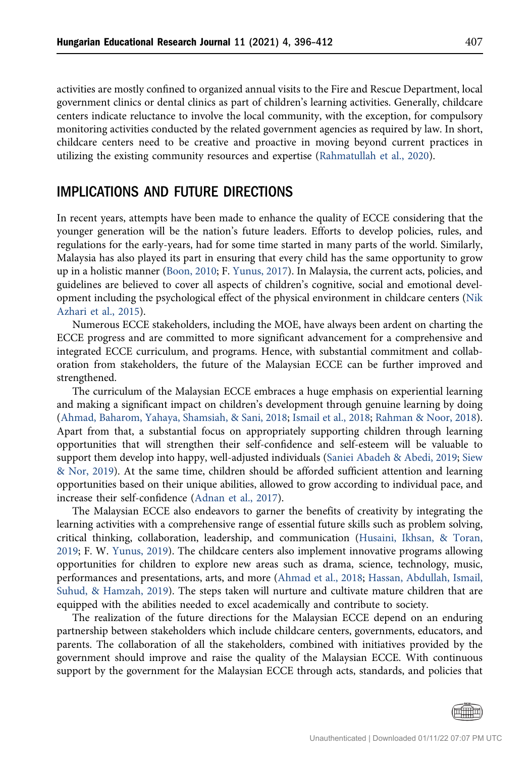activities are mostly confined to organized annual visits to the Fire and Rescue Department, local government clinics or dental clinics as part of children's learning activities. Generally, childcare centers indicate reluctance to involve the local community, with the exception, for compulsory monitoring activities conducted by the related government agencies as required by law. In short, childcare centers need to be creative and proactive in moving beyond current practices in utilizing the existing community resources and expertise ([Rahmatullah et al., 2020](#page-16-11)).

# IMPLICATIONS AND FUTURE DIRECTIONS

In recent years, attempts have been made to enhance the quality of ECCE considering that the younger generation will be the nation's future leaders. Efforts to develop policies, rules, and regulations for the early-years, had for some time started in many parts of the world. Similarly, Malaysia has also played its part in ensuring that every child has the same opportunity to grow up in a holistic manner [\(Boon, 2010;](#page-14-14) F. [Yunus, 2017\)](#page-16-7). In Malaysia, the current acts, policies, and guidelines are believed to cover all aspects of children's cognitive, social and emotional development including the psychological effect of the physical environment in childcare centers ([Nik](#page-15-17) [Azhari et al., 2015](#page-15-17)).

Numerous ECCE stakeholders, including the MOE, have always been ardent on charting the ECCE progress and are committed to more significant advancement for a comprehensive and integrated ECCE curriculum, and programs. Hence, with substantial commitment and collaboration from stakeholders, the future of the Malaysian ECCE can be further improved and strengthened.

The curriculum of the Malaysian ECCE embraces a huge emphasis on experiential learning and making a significant impact on children's development through genuine learning by doing [\(Ahmad, Baharom, Yahaya, Shamsiah, & Sani, 2018](#page-13-6); [Ismail et al., 2018;](#page-15-13) [Rahman & Noor, 2018](#page-16-5)). Apart from that, a substantial focus on appropriately supporting children through learning opportunities that will strengthen their self-confidence and self-esteem will be valuable to support them develop into happy, well-adjusted individuals ([Saniei Abadeh & Abedi, 2019;](#page-16-12) [Siew](#page-16-13) [& Nor, 2019](#page-16-13)). At the same time, children should be afforded sufficient attention and learning opportunities based on their unique abilities, allowed to grow according to individual pace, and increase their self-confidence ([Adnan et al., 2017\)](#page-13-7).

The Malaysian ECCE also endeavors to garner the benefits of creativity by integrating the learning activities with a comprehensive range of essential future skills such as problem solving, critical thinking, collaboration, leadership, and communication ([Husaini, Ikhsan, & Toran,](#page-14-15) [2019](#page-14-15); F. W. [Yunus, 2019](#page-16-14)). The childcare centers also implement innovative programs allowing opportunities for children to explore new areas such as drama, science, technology, music, performances and presentations, arts, and more ([Ahmad et al., 2018;](#page-13-6) [Hassan, Abdullah, Ismail,](#page-14-16) [Suhud, & Hamzah, 2019](#page-14-16)). The steps taken will nurture and cultivate mature children that are equipped with the abilities needed to excel academically and contribute to society.

The realization of the future directions for the Malaysian ECCE depend on an enduring partnership between stakeholders which include childcare centers, governments, educators, and parents. The collaboration of all the stakeholders, combined with initiatives provided by the government should improve and raise the quality of the Malaysian ECCE. With continuous support by the government for the Malaysian ECCE through acts, standards, and policies that

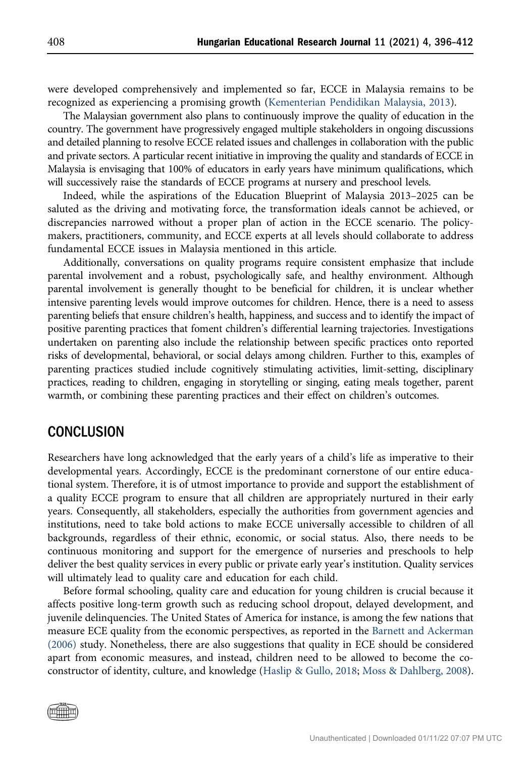were developed comprehensively and implemented so far, ECCE in Malaysia remains to be recognized as experiencing a promising growth [\(Kementerian Pendidikan Malaysia, 2013\)](#page-15-9).

The Malaysian government also plans to continuously improve the quality of education in the country. The government have progressively engaged multiple stakeholders in ongoing discussions and detailed planning to resolve ECCE related issues and challenges in collaboration with the public and private sectors. A particular recent initiative in improving the quality and standards of ECCE in Malaysia is envisaging that 100% of educators in early years have minimum qualifications, which will successively raise the standards of ECCE programs at nursery and preschool levels.

Indeed, while the aspirations of the Education Blueprint of Malaysia 2013–2025 can be saluted as the driving and motivating force, the transformation ideals cannot be achieved, or discrepancies narrowed without a proper plan of action in the ECCE scenario. The policymakers, practitioners, community, and ECCE experts at all levels should collaborate to address fundamental ECCE issues in Malaysia mentioned in this article.

Additionally, conversations on quality programs require consistent emphasize that include parental involvement and a robust, psychologically safe, and healthy environment. Although parental involvement is generally thought to be beneficial for children, it is unclear whether intensive parenting levels would improve outcomes for children. Hence, there is a need to assess parenting beliefs that ensure children's health, happiness, and success and to identify the impact of positive parenting practices that foment children's differential learning trajectories. Investigations undertaken on parenting also include the relationship between specific practices onto reported risks of developmental, behavioral, or social delays among children. Further to this, examples of parenting practices studied include cognitively stimulating activities, limit-setting, disciplinary practices, reading to children, engaging in storytelling or singing, eating meals together, parent warmth, or combining these parenting practices and their effect on children's outcomes.

### **CONCLUSION**

Researchers have long acknowledged that the early years of a child's life as imperative to their developmental years. Accordingly, ECCE is the predominant cornerstone of our entire educational system. Therefore, it is of utmost importance to provide and support the establishment of a quality ECCE program to ensure that all children are appropriately nurtured in their early years. Consequently, all stakeholders, especially the authorities from government agencies and institutions, need to take bold actions to make ECCE universally accessible to children of all backgrounds, regardless of their ethnic, economic, or social status. Also, there needs to be continuous monitoring and support for the emergence of nurseries and preschools to help deliver the best quality services in every public or private early year's institution. Quality services will ultimately lead to quality care and education for each child.

Before formal schooling, quality care and education for young children is crucial because it affects positive long-term growth such as reducing school dropout, delayed development, and juvenile delinquencies. The United States of America for instance, is among the few nations that measure ECE quality from the economic perspectives, as reported in the [Barnett and Ackerman](#page-13-8) [\(2006\)](#page-13-8) study. Nonetheless, there are also suggestions that quality in ECE should be considered apart from economic measures, and instead, children need to be allowed to become the coconstructor of identity, culture, and knowledge [\(Haslip & Gullo, 2018;](#page-14-17) [Moss & Dahlberg, 2008\)](#page-15-18).

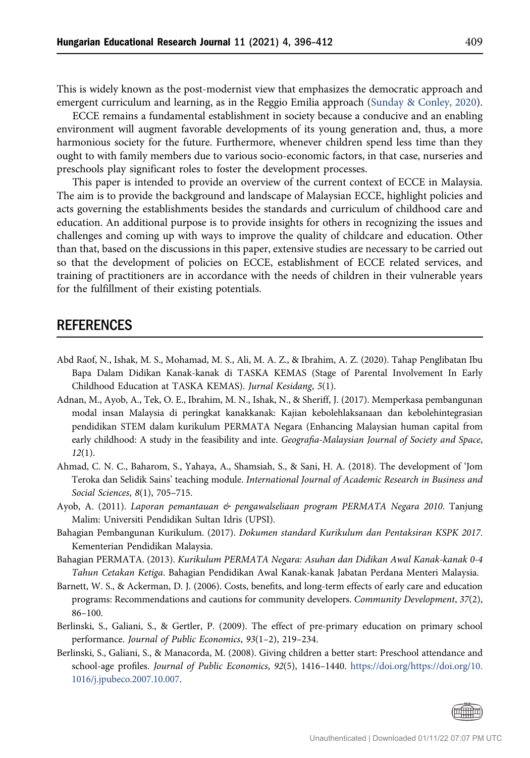This is widely known as the post-modernist view that emphasizes the democratic approach and emergent curriculum and learning, as in the Reggio Emilia approach [\(Sunday & Conley, 2020](#page-16-15)).

ECCE remains a fundamental establishment in society because a conducive and an enabling environment will augment favorable developments of its young generation and, thus, a more harmonious society for the future. Furthermore, whenever children spend less time than they ought to with family members due to various socio-economic factors, in that case, nurseries and preschools play significant roles to foster the development processes.

This paper is intended to provide an overview of the current context of ECCE in Malaysia. The aim is to provide the background and landscape of Malaysian ECCE, highlight policies and acts governing the establishments besides the standards and curriculum of childhood care and education. An additional purpose is to provide insights for others in recognizing the issues and challenges and coming up with ways to improve the quality of childcare and education. Other than that, based on the discussions in this paper, extensive studies are necessary to be carried out so that the development of policies on ECCE, establishment of ECCE related services, and training of practitioners are in accordance with the needs of children in their vulnerable years for the fulfillment of their existing potentials.

### REFERENCES

- <span id="page-13-5"></span>Abd Raof, N., Ishak, M. S., Mohamad, M. S., Ali, M. A. Z., & Ibrahim, A. Z. (2020). Tahap Penglibatan Ibu Bapa Dalam Didikan Kanak-kanak di TASKA KEMAS (Stage of Parental Involvement In Early Childhood Education at TASKA KEMAS). Jurnal Kesidang, 5(1).
- <span id="page-13-7"></span>Adnan, M., Ayob, A., Tek, O. E., Ibrahim, M. N., Ishak, N., & Sheriff, J. (2017). Memperkasa pembangunan modal insan Malaysia di peringkat kanakkanak: Kajian kebolehlaksanaan dan kebolehintegrasian pendidikan STEM dalam kurikulum PERMATA Negara (Enhancing Malaysian human capital from early childhood: A study in the feasibility and inte. Geografia-Malaysian Journal of Society and Space, 12(1).
- <span id="page-13-6"></span>Ahmad, C. N. C., Baharom, S., Yahaya, A., Shamsiah, S., & Sani, H. A. (2018). The development of 'Jom Teroka dan Selidik Sains' teaching module. International Journal of Academic Research in Business and Social Sciences, 8(1), 705–715.
- <span id="page-13-2"></span>Ayob, A. (2011). Laporan pemantauan & pengawalseliaan program PERMATA Negara 2010. Tanjung Malim: Universiti Pendidikan Sultan Idris (UPSI).
- <span id="page-13-4"></span>Bahagian Pembangunan Kurikulum. (2017). Dokumen standard Kurikulum dan Pentaksiran KSPK 2017. Kementerian Pendidikan Malaysia.
- <span id="page-13-3"></span>Bahagian PERMATA. (2013). Kurikulum PERMATA Negara: Asuhan dan Didikan Awal Kanak-kanak 0-4 Tahun Cetakan Ketiga. Bahagian Pendidikan Awal Kanak-kanak Jabatan Perdana Menteri Malaysia.
- <span id="page-13-8"></span>Barnett, W. S., & Ackerman, D. J. (2006). Costs, benefits, and long-term effects of early care and education programs: Recommendations and cautions for community developers. Community Development, 37(2), 86–100.
- <span id="page-13-0"></span>Berlinski, S., Galiani, S., & Gertler, P. (2009). The effect of pre-primary education on primary school performance. Journal of Public Economics, 93(1–2), 219–234.
- <span id="page-13-1"></span>Berlinski, S., Galiani, S., & Manacorda, M. (2008). Giving children a better start: Preschool attendance and school-age profiles. Journal of Public Economics, 92(5), 1416–1440. [https://doi.org/https://doi.org/10.](https://doi.org/https://doi.org/10.1016/j.jpubeco.2007.10.007) [1016/j.jpubeco.2007.10.007](https://doi.org/https://doi.org/10.1016/j.jpubeco.2007.10.007).

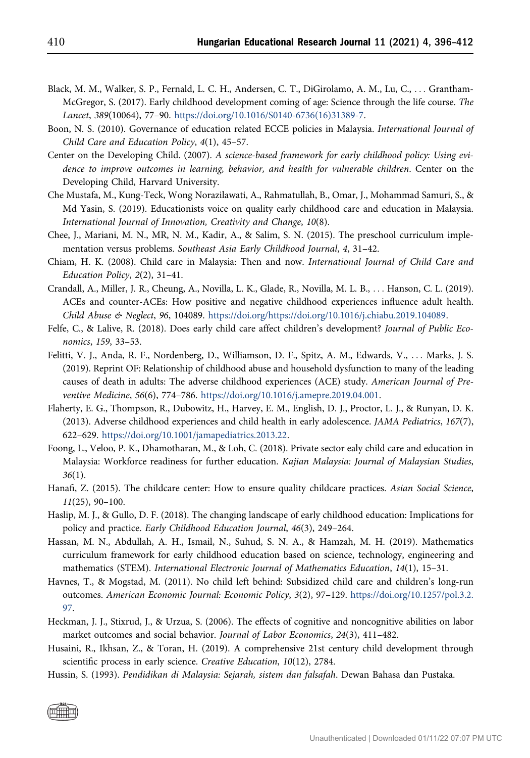- <span id="page-14-2"></span>Black, M. M., Walker, S. P., Fernald, L. C. H., Andersen, C. T., DiGirolamo, A. M., Lu, C., ... Grantham-McGregor, S. (2017). Early childhood development coming of age: Science through the life course. The Lancet, 389(10064), 77–90. [https://doi.org/10.1016/S0140-6736\(16\)31389-7.](https://doi.org/10.1016/S0140-6736(16)31389-7)
- <span id="page-14-14"></span>Boon, N. S. (2010). Governance of education related ECCE policies in Malaysia. International Journal of Child Care and Education Policy, 4(1), 45–57.
- <span id="page-14-0"></span>Center on the Developing Child. (2007). A science-based framework for early childhood policy: Using evidence to improve outcomes in learning, behavior, and health for vulnerable children. Center on the Developing Child, Harvard University.
- <span id="page-14-9"></span>Che Mustafa, M., Kung-Teck, Wong Norazilawati, A., Rahmatullah, B., Omar, J., Mohammad Samuri, S., & Md Yasin, S. (2019). Educationists voice on quality early childhood care and education in Malaysia. International Journal of Innovation, Creativity and Change, 10(8).
- <span id="page-14-8"></span>Chee, J., Mariani, M. N., MR, N. M., Kadir, A., & Salim, S. N. (2015). The preschool curriculum implementation versus problems. Southeast Asia Early Childhood Journal, 4, 31–42.
- <span id="page-14-6"></span>Chiam, H. K. (2008). Child care in Malaysia: Then and now. International Journal of Child Care and Education Policy, 2(2), 31–41.
- <span id="page-14-11"></span>Crandall, A., Miller, J. R., Cheung, A., Novilla, L. K., Glade, R., Novilla, M. L. B., ... Hanson, C. L. (2019). ACEs and counter-ACEs: How positive and negative childhood experiences influence adult health. Child Abuse & Neglect, 96, 104089. [https://doi.org/https://doi.org/10.1016/j.chiabu.2019.104089.](https://doi.org/https://doi.org/10.1016/j.chiabu.2019.104089)
- <span id="page-14-3"></span>Felfe, C., & Lalive, R. (2018). Does early child care affect children's development? Journal of Public Economics, 159, 33–53.
- <span id="page-14-12"></span>Felitti, V. J., Anda, R. F., Nordenberg, D., Williamson, D. F., Spitz, A. M., Edwards, V., ... Marks, J. S. (2019). Reprint OF: Relationship of childhood abuse and household dysfunction to many of the leading causes of death in adults: The adverse childhood experiences (ACE) study. American Journal of Preventive Medicine, 56(6), 774–786. [https://doi.org/10.1016/j.amepre.2019.04.001.](https://doi.org/10.1016/j.amepre.2019.04.001)
- <span id="page-14-13"></span>Flaherty, E. G., Thompson, R., Dubowitz, H., Harvey, E. M., English, D. J., Proctor, L. J., & Runyan, D. K. (2013). Adverse childhood experiences and child health in early adolescence. JAMA Pediatrics, 167(7), 622–629. <https://doi.org/10.1001/jamapediatrics.2013.22>.
- <span id="page-14-7"></span>Foong, L., Veloo, P. K., Dhamotharan, M., & Loh, C. (2018). Private sector ealy child care and education in Malaysia: Workforce readiness for further education. Kajian Malaysia: Journal of Malaysian Studies,  $36(1)$ .
- <span id="page-14-10"></span>Hanafi, Z. (2015). The childcare center: How to ensure quality childcare practices. Asian Social Science, 11(25), 90–100.
- <span id="page-14-17"></span>Haslip, M. J., & Gullo, D. F. (2018). The changing landscape of early childhood education: Implications for policy and practice. Early Childhood Education Journal, 46(3), 249–264.
- <span id="page-14-16"></span>Hassan, M. N., Abdullah, A. H., Ismail, N., Suhud, S. N. A., & Hamzah, M. H. (2019). Mathematics curriculum framework for early childhood education based on science, technology, engineering and mathematics (STEM). International Electronic Journal of Mathematics Education, 14(1), 15–31.
- <span id="page-14-4"></span>Havnes, T., & Mogstad, M. (2011). No child left behind: Subsidized child care and children's long-run outcomes. American Economic Journal: Economic Policy, 3(2), 97–129. [https://doi.org/10.1257/pol.3.2.](https://doi.org/10.1257/pol.3.2.97) [97.](https://doi.org/10.1257/pol.3.2.97)
- <span id="page-14-1"></span>Heckman, J. J., Stixrud, J., & Urzua, S. (2006). The effects of cognitive and noncognitive abilities on labor market outcomes and social behavior. Journal of Labor Economics, 24(3), 411–482.
- <span id="page-14-15"></span>Husaini, R., Ikhsan, Z., & Toran, H. (2019). A comprehensive 21st century child development through scientific process in early science. Creative Education, 10(12), 2784.
- <span id="page-14-5"></span>Hussin, S. (1993). Pendidikan di Malaysia: Sejarah, sistem dan falsafah. Dewan Bahasa dan Pustaka.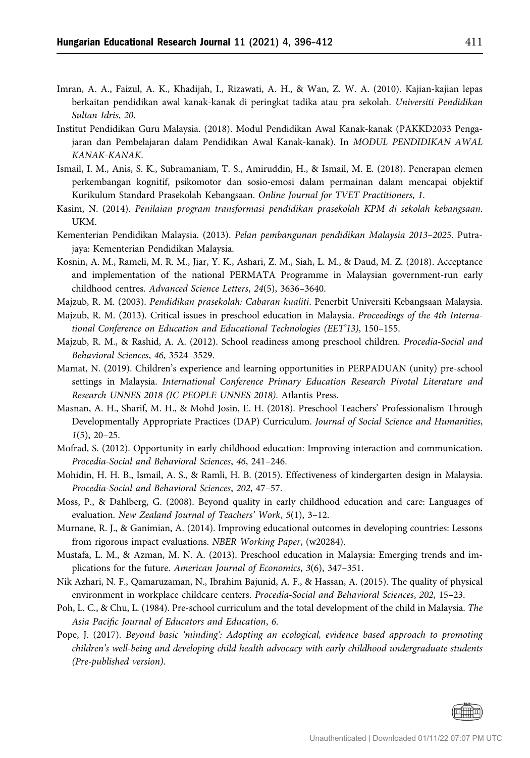- <span id="page-15-3"></span>Imran, A. A., Faizul, A. K., Khadijah, I., Rizawati, A. H., & Wan, Z. W. A. (2010). Kajian-kajian lepas berkaitan pendidikan awal kanak-kanak di peringkat tadika atau pra sekolah. Universiti Pendidikan Sultan Idris, 20.
- <span id="page-15-1"></span>Institut Pendidikan Guru Malaysia. (2018). Modul Pendidikan Awal Kanak-kanak (PAKKD2033 Pengajaran dan Pembelajaran dalam Pendidikan Awal Kanak-kanak). In MODUL PENDIDIKAN AWAL KANAK-KANAK.
- <span id="page-15-13"></span>Ismail, I. M., Anis, S. K., Subramaniam, T. S., Amiruddin, H., & Ismail, M. E. (2018). Penerapan elemen perkembangan kognitif, psikomotor dan sosio-emosi dalam permainan dalam mencapai objektif Kurikulum Standard Prasekolah Kebangsaan. Online Journal for TVET Practitioners, 1.
- <span id="page-15-11"></span>Kasim, N. (2014). Penilaian program transformasi pendidikan prasekolah KPM di sekolah kebangsaan. UKM.
- <span id="page-15-9"></span>Kementerian Pendidikan Malaysia. (2013). Pelan pembangunan pendidikan Malaysia 2013–2025. Putrajaya: Kementerian Pendidikan Malaysia.
- <span id="page-15-8"></span>Kosnin, A. M., Rameli, M. R. M., Jiar, Y. K., Ashari, Z. M., Siah, L. M., & Daud, M. Z. (2018). Acceptance and implementation of the national PERMATA Programme in Malaysian government-run early childhood centres. Advanced Science Letters, 24(5), 3636–3640.
- <span id="page-15-12"></span><span id="page-15-7"></span>Majzub, R. M. (2003). Pendidikan prasekolah: Cabaran kualiti. Penerbit Universiti Kebangsaan Malaysia.
- Majzub, R. M. (2013). Critical issues in preschool education in Malaysia. Proceedings of the 4th International Conference on Education and Educational Technologies (EET'13), 150–155.
- <span id="page-15-6"></span>Majzub, R. M., & Rashid, A. A. (2012). School readiness among preschool children. Procedia-Social and Behavioral Sciences, 46, 3524–3529.
- <span id="page-15-4"></span>Mamat, N. (2019). Children's experience and learning opportunities in PERPADUAN (unity) pre-school settings in Malaysia. International Conference Primary Education Research Pivotal Literature and Research UNNES 2018 (IC PEOPLE UNNES 2018). Atlantis Press.
- <span id="page-15-15"></span>Masnan, A. H., Sharif, M. H., & Mohd Josin, E. H. (2018). Preschool Teachers' Professionalism Through Developmentally Appropriate Practices (DAP) Curriculum. Journal of Social Science and Humanities,  $1(5)$ , 20-25.
- <span id="page-15-2"></span>Mofrad, S. (2012). Opportunity in early childhood education: Improving interaction and communication. Procedia-Social and Behavioral Sciences, 46, 241–246.
- <span id="page-15-16"></span>Mohidin, H. H. B., Ismail, A. S., & Ramli, H. B. (2015). Effectiveness of kindergarten design in Malaysia. Procedia-Social and Behavioral Sciences, 202, 47–57.
- <span id="page-15-18"></span>Moss, P., & Dahlberg, G. (2008). Beyond quality in early childhood education and care: Languages of evaluation. New Zealand Journal of Teachers' Work, 5(1), 3–12.
- <span id="page-15-0"></span>Murnane, R. J., & Ganimian, A. (2014). Improving educational outcomes in developing countries: Lessons from rigorous impact evaluations. NBER Working Paper, (w20284).
- <span id="page-15-5"></span>Mustafa, L. M., & Azman, M. N. A. (2013). Preschool education in Malaysia: Emerging trends and implications for the future. American Journal of Economics, 3(6), 347–351.
- <span id="page-15-17"></span>Nik Azhari, N. F., Qamaruzaman, N., Ibrahim Bajunid, A. F., & Hassan, A. (2015). The quality of physical environment in workplace childcare centers. Procedia-Social and Behavioral Sciences, 202, 15–23.
- <span id="page-15-14"></span>Poh, L. C., & Chu, L. (1984). Pre-school curriculum and the total development of the child in Malaysia. The Asia Pacific Journal of Educators and Education, 6.
- <span id="page-15-10"></span>Pope, J. (2017). Beyond basic 'minding': Adopting an ecological, evidence based approach to promoting children's well-being and developing child health advocacy with early childhood undergraduate students (Pre-published version).